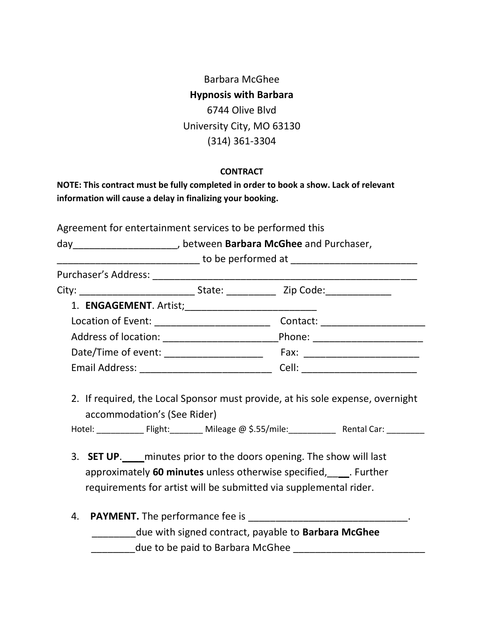Barbara McGhee **Hypnosis with Barbara** 6744 Olive Blvd University City, MO 63130 (314) 361-3304

## **CONTRACT**

| NOTE: This contract must be fully completed in order to book a show. Lack of relevant |
|---------------------------------------------------------------------------------------|
| information will cause a delay in finalizing your booking.                            |

Agreement for entertainment services to be performed this

day\_\_\_\_\_\_\_\_\_\_\_\_\_\_\_\_\_\_\_, between **Barbara McGhee** and Purchaser,

|                                          | Contact: _____________________  |  |
|------------------------------------------|---------------------------------|--|
|                                          | Phone: _____________________    |  |
| Date/Time of event: ____________________ |                                 |  |
|                                          | Cell: _________________________ |  |

2. If required, the Local Sponsor must provide, at his sole expense, overnight accommodation's (See Rider)

Hotel: \_\_\_\_\_\_\_\_\_\_ Flight:\_\_\_\_\_\_\_ Mileage @ \$.55/mile:\_\_\_\_\_\_\_\_\_\_ Rental Car: \_\_\_\_\_\_\_\_

- 3. **SET UP**. minutes prior to the doors opening. The show will last approximately **60 minutes** unless otherwise specified,\_\_\_\_. Further requirements for artist will be submitted via supplemental rider.
- 4. **PAYMENT.** The performance fee is \_\_\_\_\_\_\_\_\_\_\_\_\_\_\_\_\_\_\_\_\_\_\_\_\_\_\_\_\_\_\_\_\_. \_\_\_\_\_\_\_\_due with signed contract, payable to **Barbara McGhee** \_\_\_\_\_\_\_\_due to be paid to Barbara McGhee \_\_\_\_\_\_\_\_\_\_\_\_\_\_\_\_\_\_\_\_\_\_\_\_